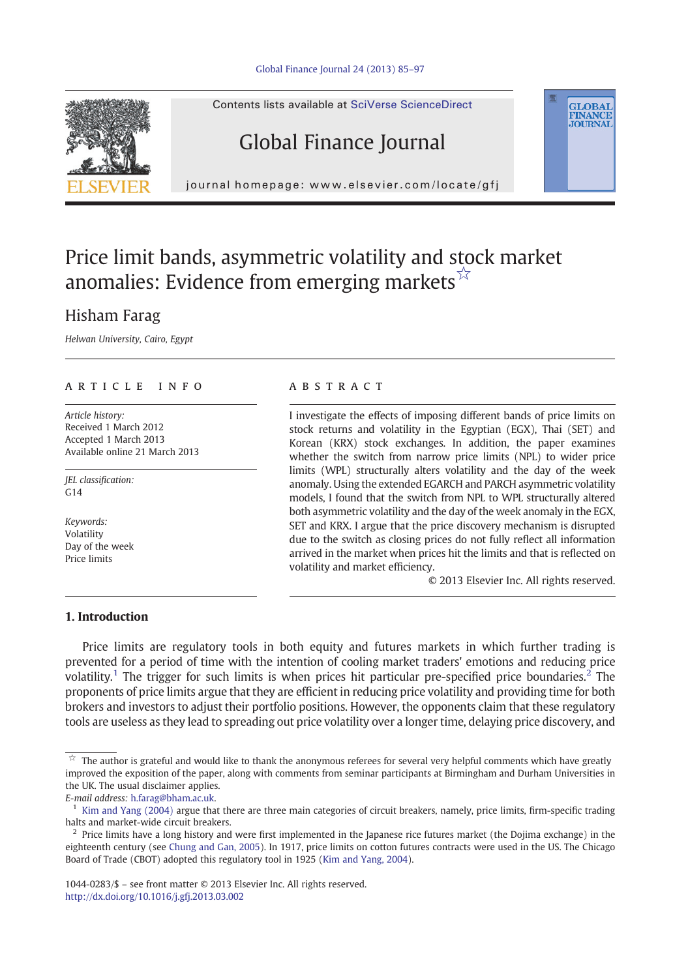#### [Global Finance Journal 24 \(2013\) 85](http://dx.doi.org/10.1016/j.gfj.2013.03.002)–97



Contents lists available at SciVerse ScienceDirect

## Global Finance Journal

journal homepage: www.elsevier.com/locate/gfj

## Price limit bands, asymmetric volatility and stock market anomalies: Evidence from emerging markets $\vec{r}$

## Hisham Farag

Helwan University, Cairo, Egypt

### article info abstract

Article history: Received 1 March 2012 Accepted 1 March 2013 Available online 21 March 2013

JEL classification:  $G14$ 

Keywords: Volatility Day of the week Price limits

I investigate the effects of imposing different bands of price limits on stock returns and volatility in the Egyptian (EGX), Thai (SET) and Korean (KRX) stock exchanges. In addition, the paper examines whether the switch from narrow price limits (NPL) to wider price limits (WPL) structurally alters volatility and the day of the week anomaly. Using the extended EGARCH and PARCH asymmetric volatility models, I found that the switch from NPL to WPL structurally altered both asymmetric volatility and the day of the week anomaly in the EGX, SET and KRX. I argue that the price discovery mechanism is disrupted due to the switch as closing prices do not fully reflect all information arrived in the market when prices hit the limits and that is reflected on volatility and market efficiency.

© 2013 Elsevier Inc. All rights reserved.

**GLOBAL**<br>FINANCE **JOURNAL** 

### 1. Introduction

Price limits are regulatory tools in both equity and futures markets in which further trading is prevented for a period of time with the intention of cooling market traders' emotions and reducing price volatility.<sup>1</sup> The trigger for such limits is when prices hit particular pre-specified price boundaries.<sup>2</sup> The proponents of price limits argue that they are efficient in reducing price volatility and providing time for both brokers and investors to adjust their portfolio positions. However, the opponents claim that these regulatory tools are useless as they lead to spreading out price volatility over a longer time, delaying price discovery, and

The author is grateful and would like to thank the anonymous referees for several very helpful comments which have greatly improved the exposition of the paper, along with comments from seminar participants at Birmingham and Durham Universities in the UK. The usual disclaimer applies.

E-mail address: [h.farag@bham.ac.uk.](mailto:h.farag@bham.ac.uk)

 $<sup>1</sup>$  [Kim and Yang \(2004\)](#page--1-0) argue that there are three main categories of circuit breakers, namely, price limits, firm-specific trading</sup> halts and market-wide circuit breakers.

 $<sup>2</sup>$  Price limits have a long history and were first implemented in the Japanese rice futures market (the Dojima exchange) in the</sup> eighteenth century (see [Chung and Gan, 2005\)](#page--1-0). In 1917, price limits on cotton futures contracts were used in the US. The Chicago Board of Trade (CBOT) adopted this regulatory tool in 1925 ([Kim and Yang, 2004\)](#page--1-0).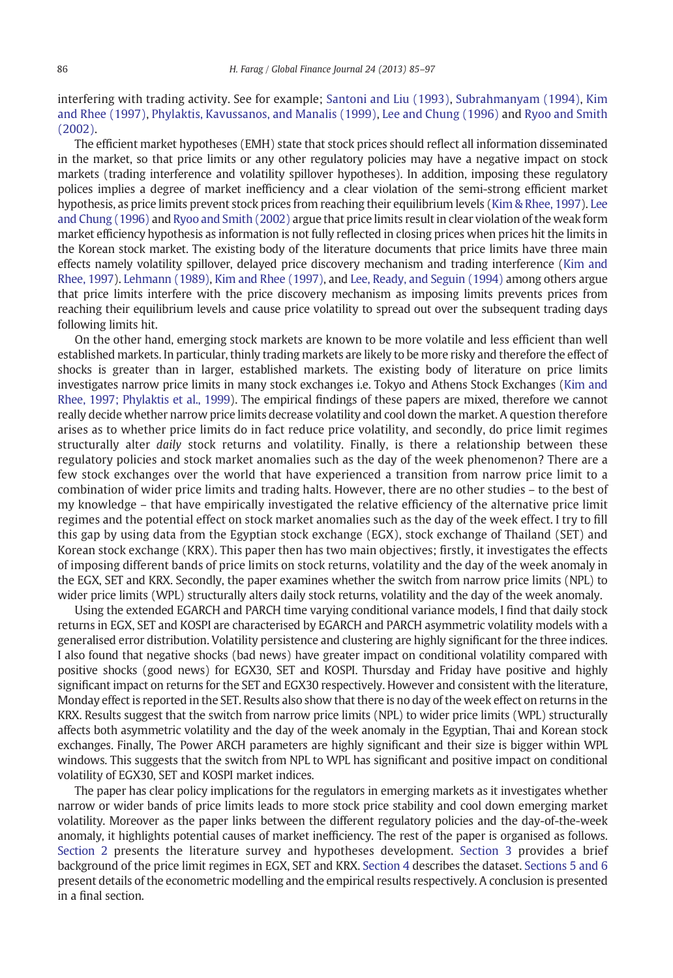interfering with trading activity. See for example; [Santoni and Liu \(1993\),](#page--1-0) [Subrahmanyam \(1994\),](#page--1-0) [Kim](#page--1-0) [and Rhee \(1997\),](#page--1-0) [Phylaktis, Kavussanos, and Manalis \(1999\)](#page--1-0), [Lee and Chung \(1996\)](#page--1-0) and [Ryoo and Smith](#page--1-0) [\(2002\).](#page--1-0)

The efficient market hypotheses (EMH) state that stock prices should reflect all information disseminated in the market, so that price limits or any other regulatory policies may have a negative impact on stock markets (trading interference and volatility spillover hypotheses). In addition, imposing these regulatory polices implies a degree of market inefficiency and a clear violation of the semi-strong efficient market hypothesis, as price limits prevent stock prices from reaching their equilibrium levels [\(Kim & Rhee, 1997\)](#page--1-0). [Lee](#page--1-0) [and Chung \(1996\)](#page--1-0) and [Ryoo and Smith \(2002\)](#page--1-0) argue that price limits result in clear violation of the weak form market efficiency hypothesis as information is not fully reflected in closing prices when prices hit the limits in the Korean stock market. The existing body of the literature documents that price limits have three main effects namely volatility spillover, delayed price discovery mechanism and trading interference ([Kim and](#page--1-0) [Rhee, 1997](#page--1-0)). [Lehmann \(1989\),](#page--1-0) [Kim and Rhee \(1997\)](#page--1-0), and [Lee, Ready, and Seguin \(1994\)](#page--1-0) among others argue that price limits interfere with the price discovery mechanism as imposing limits prevents prices from reaching their equilibrium levels and cause price volatility to spread out over the subsequent trading days following limits hit.

On the other hand, emerging stock markets are known to be more volatile and less efficient than well established markets. In particular, thinly trading markets are likely to be more risky and therefore the effect of shocks is greater than in larger, established markets. The existing body of literature on price limits investigates narrow price limits in many stock exchanges i.e. Tokyo and Athens Stock Exchanges [\(Kim and](#page--1-0) [Rhee, 1997; Phylaktis et al., 1999\)](#page--1-0). The empirical findings of these papers are mixed, therefore we cannot really decide whether narrow price limits decrease volatility and cool down the market. A question therefore arises as to whether price limits do in fact reduce price volatility, and secondly, do price limit regimes structurally alter *daily* stock returns and volatility. Finally, is there a relationship between these regulatory policies and stock market anomalies such as the day of the week phenomenon? There are a few stock exchanges over the world that have experienced a transition from narrow price limit to a combination of wider price limits and trading halts. However, there are no other studies – to the best of my knowledge – that have empirically investigated the relative efficiency of the alternative price limit regimes and the potential effect on stock market anomalies such as the day of the week effect. I try to fill this gap by using data from the Egyptian stock exchange (EGX), stock exchange of Thailand (SET) and Korean stock exchange (KRX). This paper then has two main objectives; firstly, it investigates the effects of imposing different bands of price limits on stock returns, volatility and the day of the week anomaly in the EGX, SET and KRX. Secondly, the paper examines whether the switch from narrow price limits (NPL) to wider price limits (WPL) structurally alters daily stock returns, volatility and the day of the week anomaly.

Using the extended EGARCH and PARCH time varying conditional variance models, I find that daily stock returns in EGX, SET and KOSPI are characterised by EGARCH and PARCH asymmetric volatility models with a generalised error distribution. Volatility persistence and clustering are highly significant for the three indices. I also found that negative shocks (bad news) have greater impact on conditional volatility compared with positive shocks (good news) for EGX30, SET and KOSPI. Thursday and Friday have positive and highly significant impact on returns for the SET and EGX30 respectively. However and consistent with the literature, Monday effect is reported in the SET. Results also show that there is no day of the week effect on returns in the KRX. Results suggest that the switch from narrow price limits (NPL) to wider price limits (WPL) structurally affects both asymmetric volatility and the day of the week anomaly in the Egyptian, Thai and Korean stock exchanges. Finally, The Power ARCH parameters are highly significant and their size is bigger within WPL windows. This suggests that the switch from NPL to WPL has significant and positive impact on conditional volatility of EGX30, SET and KOSPI market indices.

The paper has clear policy implications for the regulators in emerging markets as it investigates whether narrow or wider bands of price limits leads to more stock price stability and cool down emerging market volatility. Moreover as the paper links between the different regulatory policies and the day-of-the-week anomaly, it highlights potential causes of market inefficiency. The rest of the paper is organised as follows. [Section 2](#page--1-0) presents the literature survey and hypotheses development. [Section 3](#page--1-0) provides a brief background of the price limit regimes in EGX, SET and KRX. [Section 4](#page--1-0) describes the dataset. [Sections 5 and 6](#page--1-0) present details of the econometric modelling and the empirical results respectively. A conclusion is presented in a final section.